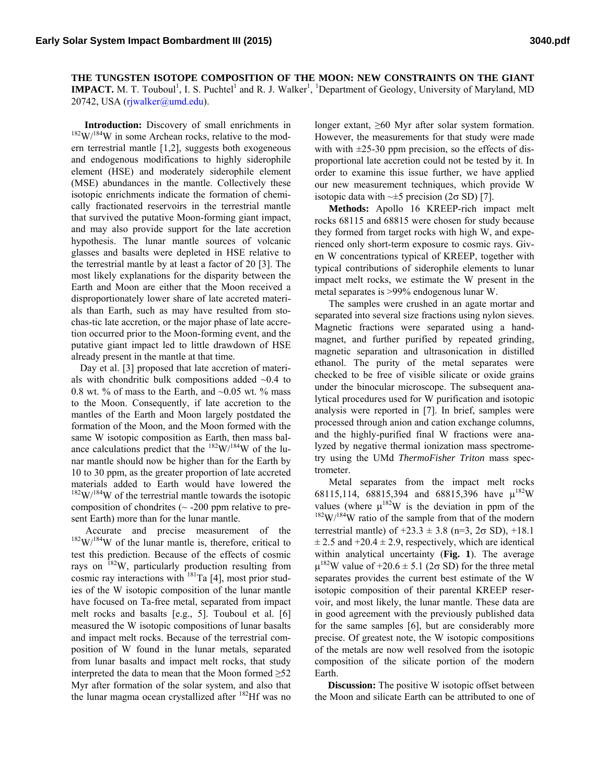**THE TUNGSTEN ISOTOPE COMPOSITION OF THE MOON: NEW CONSTRAINTS ON THE GIANT IMPACT.** M. T. Touboul<sup>1</sup>, I. S. Puchtel<sup>1</sup> and R. J. Walker<sup>1</sup>, <sup>1</sup>Department of Geology, University of Maryland, MD 20742, USA (rjwalker@umd.edu).

**Introduction:** Discovery of small enrichments in  $182 \text{W}/184 \text{W}$  in some Archean rocks, relative to the modern terrestrial mantle [1,2], suggests both exogeneous and endogenous modifications to highly siderophile element (HSE) and moderately siderophile element (MSE) abundances in the mantle. Collectively these isotopic enrichments indicate the formation of chemically fractionated reservoirs in the terrestrial mantle that survived the putative Moon-forming giant impact, and may also provide support for the late accretion hypothesis. The lunar mantle sources of volcanic glasses and basalts were depleted in HSE relative to the terrestrial mantle by at least a factor of 20 [3]. The most likely explanations for the disparity between the Earth and Moon are either that the Moon received a disproportionately lower share of late accreted materials than Earth, such as may have resulted from stochas-tic late accretion, or the major phase of late accretion occurred prior to the Moon-forming event, and the putative giant impact led to little drawdown of HSE already present in the mantle at that time.

Day et al. [3] proposed that late accretion of materials with chondritic bulk compositions added  $\sim 0.4$  to 0.8 wt. % of mass to the Earth, and  $\sim$ 0.05 wt. % mass to the Moon. Consequently, if late accretion to the mantles of the Earth and Moon largely postdated the formation of the Moon, and the Moon formed with the same W isotopic composition as Earth, then mass balance calculations predict that the  $182 \text{W}/184 \text{W}$  of the lunar mantle should now be higher than for the Earth by 10 to 30 ppm, as the greater proportion of late accreted materials added to Earth would have lowered the  $182 \text{W}/184 \text{W}$  of the terrestrial mantle towards the isotopic composition of chondrites  $({\sim}$  -200 ppm relative to present Earth) more than for the lunar mantle.

Accurate and precise measurement of the  $^{182}$ W/<sup>184</sup>W of the lunar mantle is, therefore, critical to test this prediction. Because of the effects of cosmic rays on 182W, particularly production resulting from cosmic ray interactions with  $^{181}$ Ta [4], most prior studies of the W isotopic composition of the lunar mantle have focused on Ta-free metal, separated from impact melt rocks and basalts [e.g., 5]. Touboul et al. [6] measured the W isotopic compositions of lunar basalts and impact melt rocks. Because of the terrestrial composition of W found in the lunar metals, separated from lunar basalts and impact melt rocks, that study interpreted the data to mean that the Moon formed  $\geq 52$ Myr after formation of the solar system, and also that the lunar magma ocean crystallized after  $^{182}$ Hf was no

longer extant, ≥60 Myr after solar system formation. However, the measurements for that study were made with with  $\pm 25-30$  ppm precision, so the effects of disproportional late accretion could not be tested by it. In order to examine this issue further, we have applied our new measurement techniques, which provide W isotopic data with  $\sim\pm 5$  precision (2 $\sigma$  SD) [7].

**Methods:** Apollo 16 KREEP-rich impact melt rocks 68115 and 68815 were chosen for study because they formed from target rocks with high W, and experienced only short-term exposure to cosmic rays. Given W concentrations typical of KREEP, together with typical contributions of siderophile elements to lunar impact melt rocks, we estimate the W present in the metal separates is >99% endogenous lunar W.

The samples were crushed in an agate mortar and separated into several size fractions using nylon sieves. Magnetic fractions were separated using a handmagnet, and further purified by repeated grinding, magnetic separation and ultrasonication in distilled ethanol. The purity of the metal separates were checked to be free of visible silicate or oxide grains under the binocular microscope. The subsequent analytical procedures used for W purification and isotopic analysis were reported in [7]. In brief, samples were processed through anion and cation exchange columns, and the highly-purified final W fractions were analyzed by negative thermal ionization mass spectrometry using the UMd *ThermoFisher Triton* mass spectrometer.

Metal separates from the impact melt rocks 68115,114, 68815,394 and 68815,396 have  $\mu^{182}W$ values (where  $\mu^{182}W$  is the deviation in ppm of the  $182W/184W$  ratio of the sample from that of the modern terrestrial mantle) of  $+23.3 \pm 3.8$  (n=3,  $2\sigma$  SD),  $+18.1$  $\pm$  2.5 and  $\pm$  20.4  $\pm$  2.9, respectively, which are identical within analytical uncertainty (**Fig. 1**). The average  $\mu^{182}$ W value of +20.6  $\pm$  5.1 (2 $\sigma$  SD) for the three metal separates provides the current best estimate of the W isotopic composition of their parental KREEP reservoir, and most likely, the lunar mantle. These data are in good agreement with the previously published data for the same samples [6], but are considerably more precise. Of greatest note, the W isotopic compositions of the metals are now well resolved from the isotopic composition of the silicate portion of the modern Earth.

**Discussion:** The positive W isotopic offset between the Moon and silicate Earth can be attributed to one of